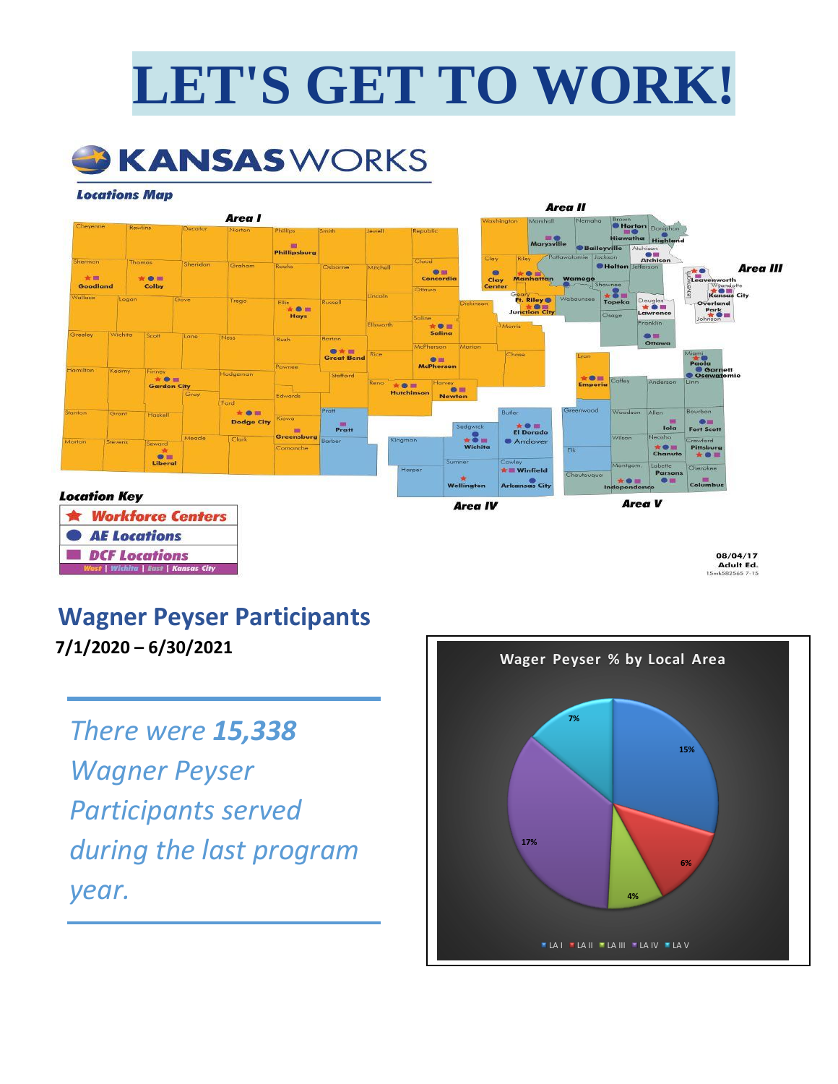# **LET'S GET TO WORK!**



#### **Locations Map**



### **Wagner Peyser Participants**

**7/1/2020 – 6/30/2021**

# *There were 15,338 Wagner Peyser Participants served during the last program year.*

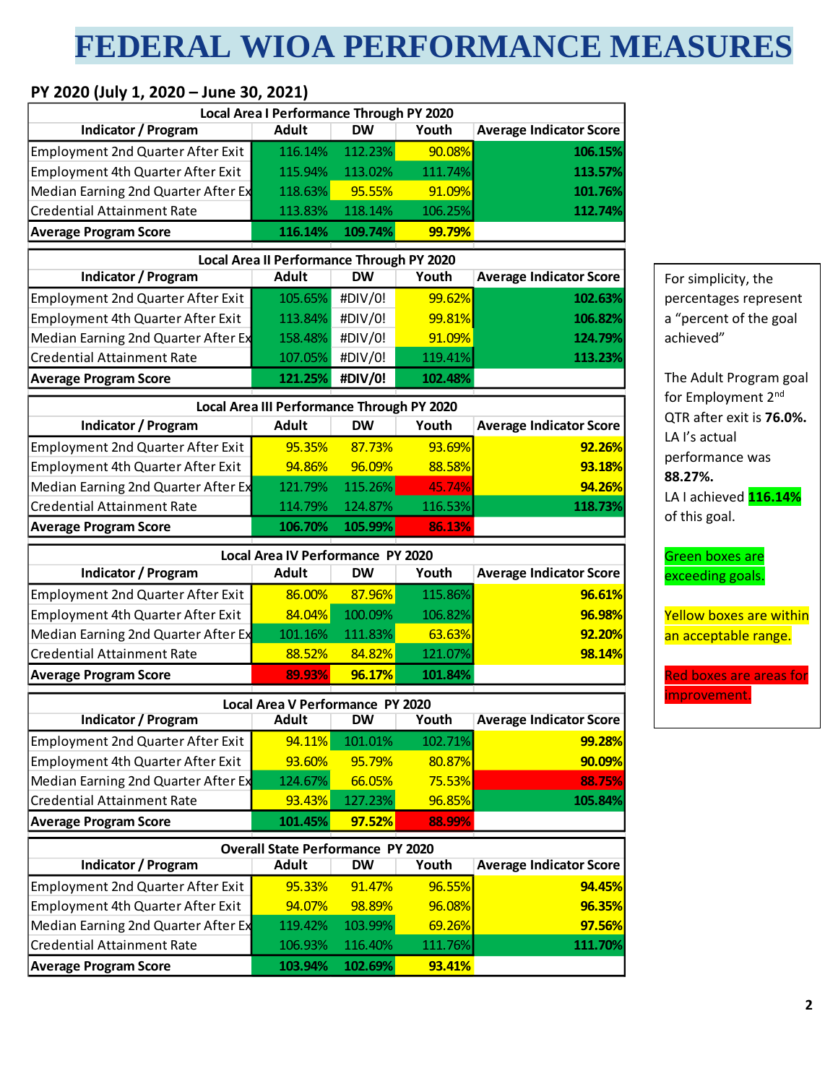# **FEDERAL WIOA PERFORMANCE MEASURES**

#### **PY 2020 (July 1, 2020 – June 30, 2021)**

|                                          | Local Area I Performance Through PY 2020   |           |         |                                |                                           |
|------------------------------------------|--------------------------------------------|-----------|---------|--------------------------------|-------------------------------------------|
| <b>Indicator / Program</b>               | <b>Adult</b>                               | <b>DW</b> | Youth   | <b>Average Indicator Score</b> |                                           |
| <b>Employment 2nd Quarter After Exit</b> | 116.14%                                    | 112.23%   | 90.08%  | 106.15%                        |                                           |
| Employment 4th Quarter After Exit        | 115.94%                                    | 113.02%   | 111.74% | 113.57%                        |                                           |
| Median Earning 2nd Quarter After Ex      | 118.63%                                    | 95.55%    | 91.09%  | 101.76%                        |                                           |
| <b>Credential Attainment Rate</b>        | 113.83%                                    | 118.14%   | 106.25% | 112.74%                        |                                           |
| <b>Average Program Score</b>             | 116.14%                                    | 109.74%   | 99.79%  |                                |                                           |
|                                          | Local Area II Performance Through PY 2020  |           |         |                                |                                           |
| <b>Indicator / Program</b>               | <b>Adult</b>                               | <b>DW</b> | Youth   | <b>Average Indicator Score</b> | For simplicity, the                       |
| <b>Employment 2nd Quarter After Exit</b> | 105.65%                                    | #DIV/0!   | 99.62%  | 102.63%                        | percentages represent                     |
| Employment 4th Quarter After Exit        | 113.84%                                    | #DIV/0!   | 99.81%  | 106.82%                        | a "percent of the goal                    |
| Median Earning 2nd Quarter After Ex      | 158.48%                                    | #DIV/0!   | 91.09%  | 124.79%                        | achieved"                                 |
| <b>Credential Attainment Rate</b>        | 107.05%                                    | #DIV/0!   | 119.41% | 113.23%                        |                                           |
| <b>Average Program Score</b>             | 121.25%                                    | #DIV/0!   | 102.48% |                                | The Adult Program goal                    |
|                                          | Local Area III Performance Through PY 2020 |           |         |                                | for Employment 2nd                        |
| <b>Indicator / Program</b>               | <b>Adult</b>                               | <b>DW</b> | Youth   | <b>Average Indicator Score</b> | QTR after exit is 76.0%.<br>LA I's actual |
| Employment 2nd Quarter After Exit        | 95.35%                                     | 87.73%    | 93.69%  | 92.26%                         |                                           |
| Employment 4th Quarter After Exit        | 94.86%                                     | 96.09%    | 88.58%  | 93.18%                         | performance was<br>88.27%.                |
| Median Earning 2nd Quarter After Ex      | 121.79%                                    | 115.26%   | 45.74%  | 94.26%                         | LA I achieved 116.14%                     |
| <b>Credential Attainment Rate</b>        | 114.79%                                    | 124.87%   | 116.53% | 118.73%                        | of this goal.                             |
| <b>Average Program Score</b>             | 106.70%                                    | 105.99%   | 86.13%  |                                |                                           |
|                                          | Local Area IV Performance PY 2020          |           |         |                                | <b>Green boxes are</b>                    |
| <b>Indicator / Program</b>               | <b>Adult</b>                               | <b>DW</b> | Youth   | <b>Average Indicator Score</b> | exceeding goals.                          |
| <b>Employment 2nd Quarter After Exit</b> | 86.00%                                     | 87.96%    | 115.86% | 96.61%                         |                                           |
| Employment 4th Quarter After Exit        | 84.04%                                     | 100.09%   | 106.82% | 96.98%                         | <b>Yellow boxes are within</b>            |
| Median Earning 2nd Quarter After Ex      | 101.16%                                    | 111.83%   | 63.63%  | 92.20%                         | an acceptable range.                      |
| <b>Credential Attainment Rate</b>        | 88.52%                                     | 84.82%    | 121.07% | 98.14%                         |                                           |
| <b>Average Program Score</b>             | 89.93%                                     | 96.17%    | 101.84% |                                | <b>Red boxes are areas for</b>            |
|                                          | Local Area V Performance PY 2020           |           |         |                                | improvement.                              |
| Indicator / Program                      | <b>Adult</b>                               | <b>DW</b> | Youth   | <b>Average Indicator Score</b> |                                           |
| <b>Employment 2nd Quarter After Exit</b> | 94.11%                                     | 101.01%   | 102.71% | 99.28%                         |                                           |
| <b>Employment 4th Quarter After Exit</b> | 93.60%                                     | 95.79%    | 80.87%  | 90.09%                         |                                           |
| Median Earning 2nd Quarter After Ex      | 124.67%                                    | 66.05%    | 75.53%  | 88.75%                         |                                           |
| <b>Credential Attainment Rate</b>        | 93.43%                                     | 127.23%   | 96.85%  | 105.84%                        |                                           |
| <b>Average Program Score</b>             | 101.45%                                    | 97.52%    | 88.99%  |                                |                                           |
|                                          | <b>Overall State Performance PY 2020</b>   |           |         |                                |                                           |
| <b>Indicator / Program</b>               | <b>Adult</b>                               | <b>DW</b> | Youth   | <b>Average Indicator Score</b> |                                           |
| <b>Employment 2nd Quarter After Exit</b> | 95.33%                                     | 91.47%    | 96.55%  | 94.45%                         |                                           |
| Employment 4th Quarter After Exit        | 94.07%                                     | 98.89%    | 96.08%  | 96.35%                         |                                           |
| Median Earning 2nd Quarter After Ex      | 119.42%                                    | 103.99%   | 69.26%  | 97.56%                         |                                           |
| <b>Credential Attainment Rate</b>        | 106.93%                                    | 116.40%   | 111.76% | 111.70%                        |                                           |
| <b>Average Program Score</b>             | 103.94%                                    | 102.69%   | 93.41%  |                                |                                           |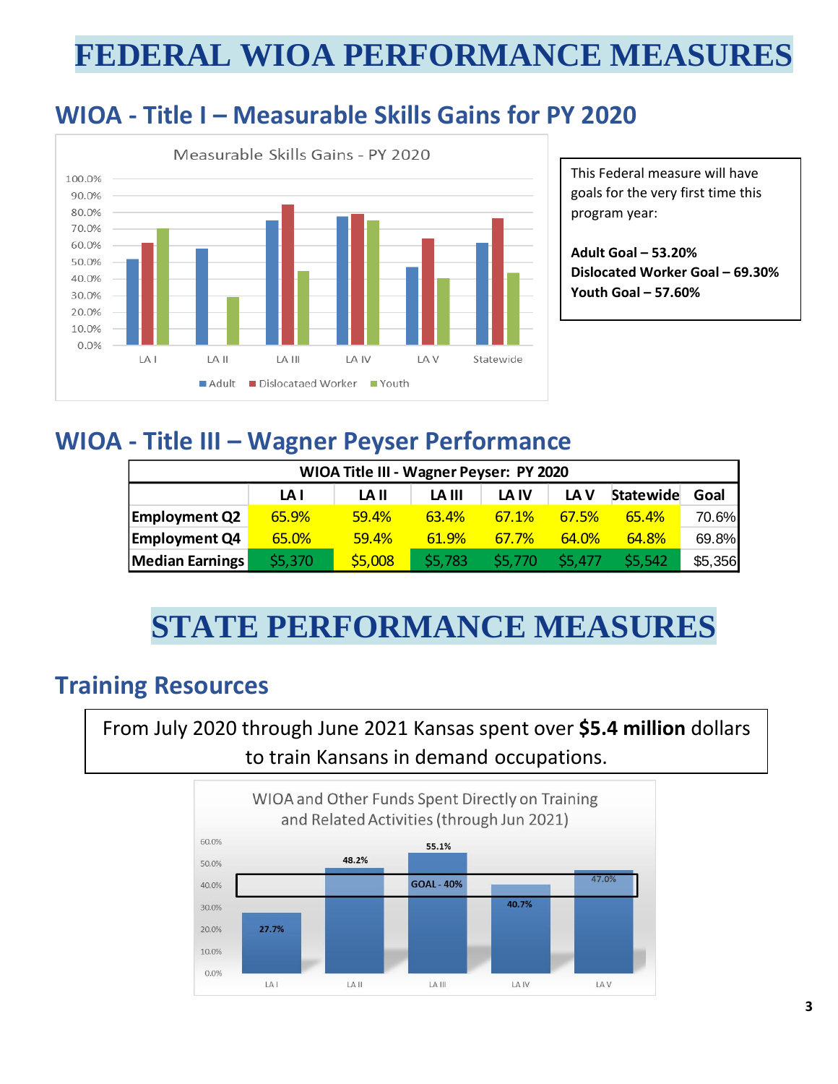## **FEDERAL WIOA PERFORMANCE MEASURES**

### **WIOA - Title I – Measurable Skills Gains for PY 2020**



This Federal measure will have goals for the very first time this program year:

**Adult Goal – 53.20% Dislocated Worker Goal – 69.30% Youth Goal – 57.60%**

### **WIOA - Title III – Wagner Peyser Performance**

| WIOA Title III - Wagner Peyser: PY 2020 |         |         |         |              |              |              |         |  |
|-----------------------------------------|---------|---------|---------|--------------|--------------|--------------|---------|--|
|                                         | LA I    | LA II   | LA III  | LA IV        | LA V         | Statewide    | Goal    |  |
| <b>Employment Q2</b>                    | 65.9%   | 59.4%   | 63.4%   | <b>67.1%</b> | <b>67.5%</b> | <b>65.4%</b> | 70.6%   |  |
| <b>Employment Q4</b>                    | 65.0%   | 59.4%   | 61.9%   | <b>67.7%</b> | 64.0%        | 64.8%        | 69.8%   |  |
| <b>Median Earnings</b>                  | \$5,370 | \$5,008 | \$5,783 | \$5.770      | \$5.477      | \$5,542      | \$5,356 |  |

# **STATE PERFORMANCE MEASURES**

### **Training Resources**

From July 2020 through June 2021 Kansas spent over **\$5.4 million** dollars to train Kansans in demand occupations.

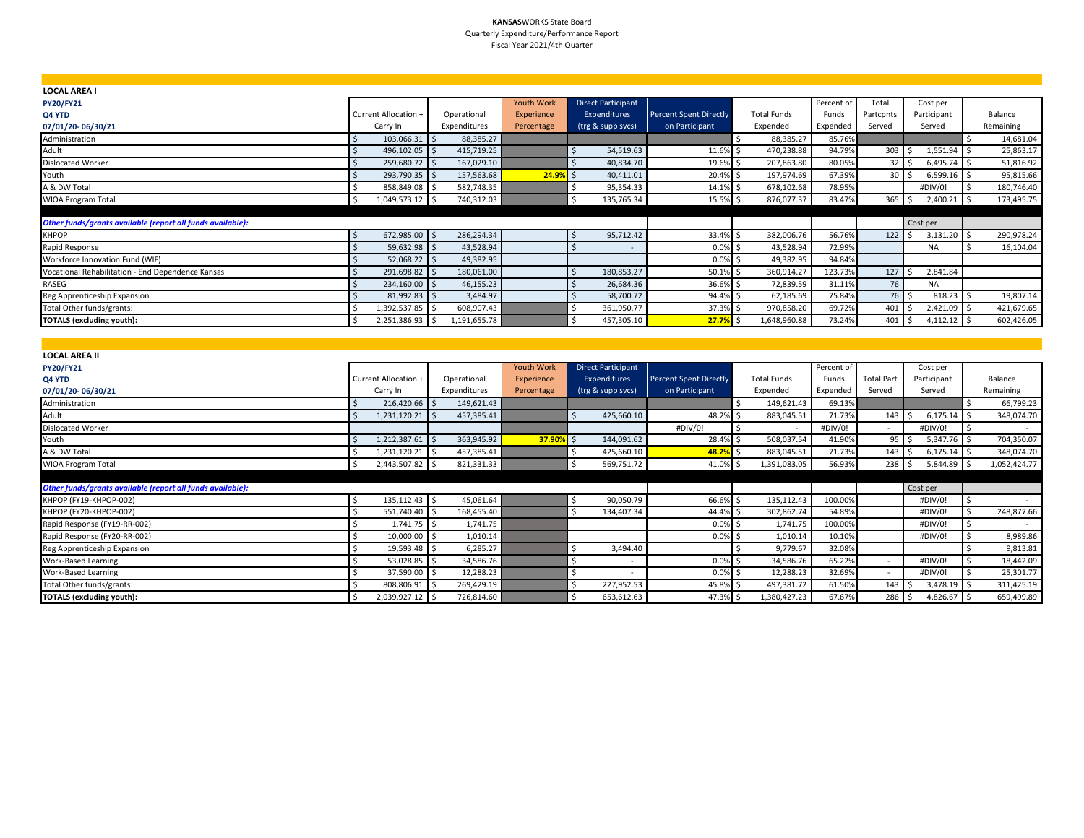#### **KANSAS**WORKS State Board Quarterly Expenditure/Performance Report Fiscal Year 2021/4th Quarter

| <b>LOCAL AREA I</b>                                        |                      |              |                   |                           |                               |                    |            |                |               |            |
|------------------------------------------------------------|----------------------|--------------|-------------------|---------------------------|-------------------------------|--------------------|------------|----------------|---------------|------------|
| <b>PY20/FY21</b>                                           |                      |              | <b>Youth Work</b> | <b>Direct Participant</b> |                               |                    | Percent of | Total          | Cost per      |            |
| Q4 YTD                                                     | Current Allocation + | Operational  | Experience        | <b>Expenditures</b>       | <b>Percent Spent Directly</b> | <b>Total Funds</b> | Funds      | Partcpnts      | Participant   | Balance    |
| 07/01/20-06/30/21                                          | Carry In             | Expenditures | Percentage        | (trg & supp svcs)         | on Participant                | Expended           | Expended   | Served         | Served        | Remaining  |
| Administration                                             | 103,066.31 \$        | 88,385.27    |                   |                           |                               | 88,385.27          | 85.76%     |                |               | 14,681.04  |
| Adult                                                      | 496,102.05 \$        | 415,719.25   |                   | 54,519.63                 | 11.6%                         | 470,238.88         | 94.79%     | 303            | $1,551.94$ \$ | 25,863.17  |
| <b>Dislocated Worker</b>                                   | 259,680.72 \$        | 167,029.10   |                   | 40,834.70                 | 19.6%                         | 207,863.80         | 80.05%     | $32 \quad$     | $6,495.74$ \$ | 51,816.92  |
| Youth                                                      | 293,790.35 \$        | 157,563.68   | $24.9%$ \$        | 40,411.01                 | 20.4%                         | 197,974.69         | 67.39%     | $30 \quad$     | $6,599.16$ \$ | 95,815.66  |
| A & DW Total                                               | 858,849.08 \$        | 582,748.35   |                   | 95,354.33                 | 14.1%                         | 678,102.68         | 78.95%     |                | #DIV/0!       | 180,746.40 |
| <b>WIOA Program Total</b>                                  | 1,049,573.12 \$      | 740,312.03   |                   | 135,765.34                | 15.5% \$                      | 876,077.37         | 83.47%     | $365$ \$       | $2,400.21$ \$ | 173,495.75 |
|                                                            |                      |              |                   |                           |                               |                    |            |                |               |            |
| Other funds/grants available (report all funds available): |                      |              |                   |                           |                               |                    |            |                | Cost per      |            |
| <b>KHPOP</b>                                               | 672,985.00 \$        | 286,294.34   |                   | 95,712.42                 | 33.4%                         | 382,006.76         | 56.76%     | $122 \quad$ \$ | $3,131.20$ \$ | 290,978.24 |
| Rapid Response                                             | 59,632.98 \$         | 43,528.94    |                   |                           | 0.0%                          | 43,528.94          | 72.99%     |                | <b>NA</b>     | 16,104.04  |
| Workforce Innovation Fund (WIF)                            | $52,068.22$ \$       | 49,382.95    |                   |                           | $0.0\%$ \$                    | 49,382.95          | 94.84%     |                |               |            |
| Vocational Rehabilitation - End Dependence Kansas          | 291,698.82 \$        | 180,061.00   |                   | 180,853.27                | 50.1%                         | 360,914.27         | 123.73%    | 127            | 2,841.84      |            |
| RASEG                                                      | 234,160.00 \$        | 46,155.23    |                   | 26,684.36                 | 36.6%                         | 72,839.59          | 31.11%     | 76             | <b>NA</b>     |            |
| Reg Apprenticeship Expansion                               | 81,992.83 \$         | 3,484.97     |                   | 58,700.72                 | 94.4% \$                      | 62,185.69          | 75.84%     | 76 \$          | $818.23$ \$   | 19,807.14  |
| Total Other funds/grants:                                  | 1,392,537.85 \$      | 608,907.43   |                   | 361,950.77                | 37.3% \$                      | 970,858.20         | 69.72%     | 401            | $2,421.09$ \$ | 421,679.65 |
| <b>TOTALS (excluding youth):</b>                           | 2,251,386.93 \$      | 1,191,655.78 |                   | 457,305.10                | 27.7%                         | 1,648,960.88       | 73.24%     | 401            | $4,112.12$ \$ | 602,426.05 |
|                                                            |                      |              |                   |                           |                               |                    |            |                |               |            |

| <b>LOCAL AREA II</b>                                       |                      |              |            |                           |                               |                    |            |                    |             |                  |
|------------------------------------------------------------|----------------------|--------------|------------|---------------------------|-------------------------------|--------------------|------------|--------------------|-------------|------------------|
| <b>PY20/FY21</b>                                           |                      |              | Youth Work | <b>Direct Participant</b> |                               |                    | Percent of |                    | Cost per    |                  |
| Q4 YTD                                                     | Current Allocation + | Operational  | Experience | <b>Expenditures</b>       | <b>Percent Spent Directly</b> | <b>Total Funds</b> | Funds      | <b>Total Part</b>  | Participant | Balance          |
| 07/01/20-06/30/21                                          | Carry In             | Expenditures | Percentage | (trg & supp svcs)         | on Participant                | Expended           | Expended   | Served             | Served      | Remaining        |
| Administration                                             | $216,420.66$ \$      | 149,621.43   |            |                           |                               | 149,621.43         | 69.13%     |                    |             | 66,799.23        |
| Adult                                                      | 1,231,120.21         | 457,385.41   |            | 425,660.10                | 48.2%                         | 883,045.51         | 71.73%     | $143 \,$ \$        | 6,175.14    | 348,074.70<br>ιs |
| <b>Dislocated Worker</b>                                   |                      |              |            |                           | #DIV/0!                       | $\sim$             | #DIV/0!    | $\sim$             | #DIV/0!     |                  |
| Youth                                                      | $1,212,387.61$ \$    | 363,945.92   | 37.90%     | 144,091.62                | 28.4%                         | 508,037.54         | 41.90%     | $95$ $\frac{2}{3}$ | 5,347.76    | 704,350.07       |
| A & DW Total                                               | 1,231,120.21 \$      | 457,385.41   |            | 425,660.10                | 48.2%                         | 883,045.51         | 71.73%     | 143                | 6,175.14    | 348,074.70       |
| WIOA Program Total                                         | 2,443,507.82 \$      | 821,331.33   |            | 569,751.72                | 41.0%                         | 1,391,083.05       | 56.93%     | $238$ \$           | 5,844.89    | 1,052,424.77     |
|                                                            |                      |              |            |                           |                               |                    |            |                    |             |                  |
| Other funds/grants available (report all funds available): |                      |              |            |                           |                               |                    |            |                    | Cost per    |                  |
| KHPOP (FY19-KHPOP-002)                                     | 135,112.43 \$        | 45,061.64    |            | 90,050.79                 | 66.6%                         | 135,112.43         | 100.00%    |                    | #DIV/0!     |                  |
| KHPOP (FY20-KHPOP-002)                                     | 551,740.40 \$        | 168,455.40   |            | 134,407.34                | 44.4%                         | 302,862.74         | 54.89%     |                    | #DIV/0!     | 248,877.66       |
| Rapid Response (FY19-RR-002)                               | $1,741.75$ \$        | 1,741.75     |            |                           | 0.0%                          | 1,741.75           | 100.00%    |                    | #DIV/0!     |                  |
| Rapid Response (FY20-RR-002)                               | 10,000.00 \$         | 1,010.14     |            |                           | 0.0%                          | 1,010.14           | 10.10%     |                    | #DIV/0!     | 8,989.86         |
| Reg Apprenticeship Expansion                               | 19,593.48 \$         | 6,285.27     |            | 3,494.40                  |                               | 9,779.67           | 32.08%     |                    |             | 9,813.81         |
| <b>Work-Based Learning</b>                                 | 53,028.85 \$         | 34,586.76    |            |                           | 0.0%                          | 34,586.76          | 65.22%     | $\sim$             | #DIV/0!     | 18,442.09        |
| Work-Based Learning                                        | 37,590.00 \$         | 12,288.23    |            | ۰                         | 0.0%                          | 12,288.23          | 32.69%     | $\sim$             | #DIV/0!     | 25,301.77        |
| Total Other funds/grants:                                  | 808,806.91 \$        | 269,429.19   |            | 227,952.53                | 45.8%                         | 497,381.72         | 61.50%     | 143                | 3,478.19    | 311,425.19       |
| <b>TOTALS (excluding youth):</b>                           | 2,039,927.12 \$      | 726,814.60   |            | 653,612.63                | 47.3%                         | 1,380,427.23       | 67.67%     | $286$ \$           | 4,826.67    | 659,499.89       |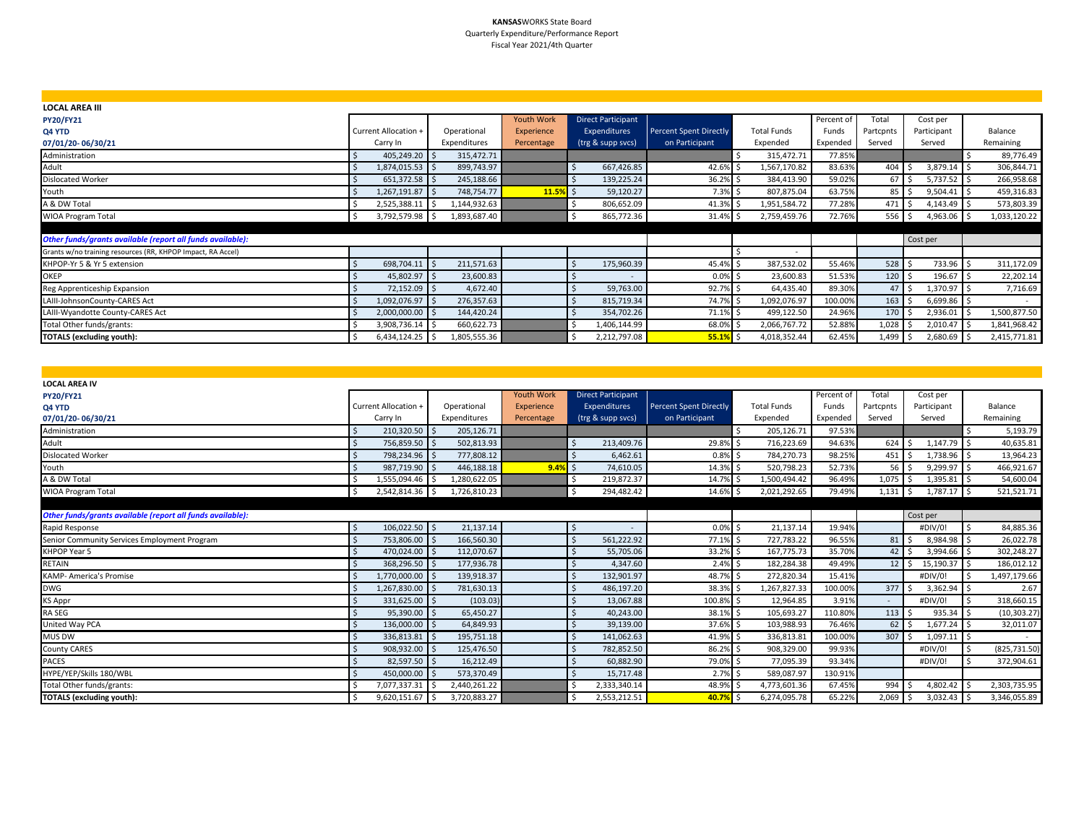#### **KANSAS**WORKS State Board Quarterly Expenditure/Performance Report Fiscal Year 2021/4th Quarter

| <b>LOCAL AREA III</b>                                       |                      |              |                   |                           |                               |                          |            |                 |             |                    |
|-------------------------------------------------------------|----------------------|--------------|-------------------|---------------------------|-------------------------------|--------------------------|------------|-----------------|-------------|--------------------|
| <b>PY20/FY21</b>                                            |                      |              | <b>Youth Work</b> | <b>Direct Participant</b> |                               |                          | Percent of | Total           | Cost per    |                    |
| Q4 YTD                                                      | Current Allocation + | Operational  | Experience        | Expenditures              | <b>Percent Spent Directly</b> | <b>Total Funds</b>       | Funds      | Partcpnts       | Participant | Balance            |
| 07/01/20-06/30/21                                           | Carry In             | Expenditures | Percentage        | (trg & supp svcs)         | on Participant                | Expended                 | Expended   | Served          | Served      | Remaining          |
| Administration                                              | 405,249.20 \$        | 315,472.71   |                   |                           |                               | 315,472.71               | 77.85%     |                 |             | 89,776.49          |
| Adult                                                       | 1,874,015.53 \$      | 899,743.97   |                   | 667,426.85                | 42.6% \$                      | 1,567,170.82             | 83.63%     | 404             | 3,879.14    | 306,844.71         |
| Dislocated Worker                                           | 651,372.58 \$        | 245,188.66   |                   | 139,225.24                | 36.2% \$                      | 384,413.90               | 59.02%     | 67 <sub>5</sub> | 5,737.52    | 266,958.68         |
| Youth                                                       | 1,267,191.87 \$      | 748,754.77   | 11.5%             | 59,120.27<br>il s         | $7.3\%$ \$                    | 807,875.04               | 63.75%     | $85 \mid 5$     | 9,504.41    | 459,316.83<br>I S  |
| A & DW Total                                                | 2,525,388.11         | 1,144,932.63 |                   | 806,652.09                | 41.3% \$                      | 1,951,584.72             | 77.28%     | 471S            | 4,143.49    | 573,803.39         |
| <b>WIOA Program Total</b>                                   | 3,792,579.98 \$      | 1,893,687.40 |                   | 865,772.36                | 31.4% \$                      | 2,759,459.76             | 72.76%     | $556$ \$        | 4,963.06    | 1,033,120.22<br>ιs |
|                                                             |                      |              |                   |                           |                               |                          |            |                 |             |                    |
| Other funds/grants available (report all funds available):  |                      |              |                   |                           |                               |                          |            |                 | Cost per    |                    |
| Grants w/no training resources (RR, KHPOP Impact, RA Accel) |                      |              |                   |                           |                               | $\overline{\phantom{a}}$ |            |                 |             |                    |
| KHPOP-Yr 5 & Yr 5 extension                                 | 698,704.11 \$        | 211,571.63   |                   | 175,960.39                | 45.4% \$                      | 387,532.02               | 55.46%     | $528$ \$        | 733.96      | 311,172.09<br>ιs   |
| <b>OKEP</b>                                                 | 45,802.97 \$         | 23,600.83    |                   |                           | $0.0\%$ \$                    | 23,600.83                | 51.53%     | $120 \mid 5$    | 196.67      | 22,202.14          |
| Reg Apprenticeship Expansion                                | 72,152.09 \$         | 4,672.40     |                   | 59,763.00                 | 92.7% \$                      | 64,435.40                | 89.30%     | $47 \,$ S       | 1,370.97    | 7,716.69           |
| LAIII-JohnsonCounty-CARES Act                               | 1,092,076.97 \$      | 276,357.63   |                   | 815,719.34                | 74.7% \$                      | 1,092,076.97             | 100.00%    | 163             | 6,699.86 \$ |                    |
| LAIII-Wyandotte County-CARES Act                            | 2,000,000.00 \$      | 144,420.24   |                   | 354,702.26                | 71.1% \$                      | 499,122.50               | 24.96%     | $170 \quad$ \$  | 2,936.01    | 1,500,877.50       |
| Total Other funds/grants:                                   | 3,908,736.14         | 660,622.73   |                   | 1,406,144.99              | 68.0%\$                       | 2,066,767.72             | 52.88%     | 1,028           | 2,010.47    | 1,841,968.42       |
| <b>TOTALS (excluding youth):</b>                            | 6,434,124.25 \$      | 1,805,555.36 |                   | 2,212,797.08              | 55.1%                         | 4,018,352.44             | 62.45%     | $1,499$ \$      | 2,680.69 \$ | 2,415,771.81       |

| <b>LOCAL AREA IV</b>                                       |                             |                   |                   |                           |                               |                    |            |                               |               |               |
|------------------------------------------------------------|-----------------------------|-------------------|-------------------|---------------------------|-------------------------------|--------------------|------------|-------------------------------|---------------|---------------|
| <b>PY20/FY21</b>                                           |                             |                   | <b>Youth Work</b> | <b>Direct Participant</b> |                               |                    | Percent of | Total                         | Cost per      |               |
| Q4 YTD                                                     | <b>Current Allocation +</b> | Operational       | Experience        | Expenditures              | <b>Percent Spent Directly</b> | <b>Total Funds</b> | Funds      | Partcpnts                     | Participant   | Balance       |
| 07/01/20-06/30/21                                          | Carry In                    | Expenditures      | Percentage        | (trg & supp svcs)         | on Participant                | Expended           | Expended   | Served                        | Served        | Remaining     |
| Administration                                             | 210,320.50 \$               | 205,126.71        |                   |                           |                               | 205,126.71         | 97.53%     |                               |               | 5,193.79      |
| Adult                                                      | 756,859.50 \$               | 502,813.93        |                   | 213,409.76                | 29.8%                         | 716,223.69         | 94.63%     | $624$ \$                      | 1,147.79 \$   | 40,635.81     |
| <b>Dislocated Worker</b>                                   | 798,234.96 \$               | 777,808.12        |                   | 6.462.61                  | 0.8%                          | 784,270.73         | 98.25%     | $451 \,$ \$                   | 1,738.96 \$   | 13,964.23     |
| Youth                                                      | 987,719.90 \$               | 446,188.18        | $9.4%$ \$         | 74.610.05                 | 14.3%                         | 520,798.23         | 52.73%     | $56$ $\overline{\phantom{0}}$ | 9,299.97 \$   | 466,921.67    |
| A & DW Total                                               | 1,555,094.46 \$             | 1,280,622.05      |                   | 219,872.37                | 14.7%                         | 1,500,494.42       | 96.49%     | $1,075$ \$                    | $1,395.81$ \$ | 54,600.04     |
| <b>WIOA Program Total</b>                                  | 2,542,814.36 \$<br>Ŝ.       | 1,726,810.23      |                   | 294,482.42<br>. \$        | 14.6%                         | 2,021,292.65       | 79.49%     | $1,131$ \$                    | 1,787.17 \$   | 521,521.71    |
|                                                            |                             |                   |                   |                           |                               |                    |            |                               |               |               |
| Other funds/grants available (report all funds available): |                             |                   |                   |                           |                               |                    |            |                               | Cost per      |               |
| Rapid Response                                             | 106,022.50 \$               | 21,137.14         |                   | $\overline{\phantom{a}}$  | 0.0%                          | 21,137.14          | 19.94%     |                               | #DIV/0!       | 84,885.36     |
| Senior Community Services Employment Program               | 753,806.00 \$               | 166,560.30        |                   | 561.222.92                | 77.1% \$                      | 727,783.22         | 96.55%     | $81 \,$ $\bar{5}$             | 8,984.98 \$   | 26,022.78     |
| KHPOP Year 5                                               | 470,024.00 \$               | 112,070.67        |                   | 55,705.06                 | 33.2% \$                      | 167,775.73         | 35.70%     | $42 \mid 5$                   | 3,994.66 \$   | 302,248.27    |
| RETAIN                                                     | 368,296.50 \$               | 177,936.78        |                   | 4,347.60                  | 2.4%                          | 182,284.38         | 49.49%     | $12 \quad S$                  | 15,190.37 \$  | 186,012.12    |
| <b>KAMP- America's Promise</b>                             | 1,770,000.00                | 139,918.37<br>l ś |                   | 132,901.97                | 48.7%                         | 272,820.34         | 15.41%     |                               | #DIV/0!       | 1,497,179.66  |
| <b>DWG</b>                                                 | 1,267,830.00 \$             | 781,630.13        |                   | 486,197.20                | 38.3% \$                      | 1,267,827.33       | 100.00%    | 377                           | $3,362.94$ \$ | 2.67          |
| <b>KS Appr</b>                                             | 331,625.00 \$               | (103.03)          |                   | 13,067.88                 | 100.8%                        | 12,964.85          | 3.91%      | $\sim$                        | #DIV/0!       | 318,660.15    |
| RA SEG                                                     | 95,390.00 \$                | 65,450.27         |                   | 40.243.00                 | 38.1%                         | 105,693.27         | 110.80%    | $113 \quad$                   | 935.34 \$     | (10, 303.27)  |
| United Way PCA                                             | 136,000.00 \$               | 64,849.93         |                   | 39,139.00                 | 37.6% \$                      | 103,988.93         | 76.46%     | $62 \mid 5$                   | $1,677.24$ \$ | 32,011.07     |
| MUS DW                                                     | 336,813.81 \$               | 195,751.18        |                   | 141,062.63                | 41.9% \$                      | 336,813.81         | 100.00%    | 307                           | $1,097.11$ \$ |               |
| County CARES                                               | 908,932.00 \$               | 125,476.50        |                   | 782,852.50                | 86.2%                         | 908,329.00         | 99.93%     |                               | #DIV/0!       | (825, 731.50) |
| <b>PACES</b>                                               | 82,597.50 \$                | 16,212.49         |                   | 60,882.90                 | 79.0%                         | 77,095.39          | 93.34%     |                               | #DIV/0!       | 372,904.61    |
| HYPE/YEP/Skills 180/WBL                                    | 450,000.00                  | 573,370.49        |                   | 15,717.48                 | 2.7%                          | 589,087.97         | 130.91%    |                               |               |               |
| Total Other funds/grants:                                  | 7,077,337.31 \$             | 2,440,261.22      |                   | 2,333,340.14              | 48.9%                         | 4,773,601.36       | 67.45%     | 994                           | 4,802.42 \$   | 2,303,735.95  |
| <b>TOTALS (excluding youth):</b>                           | 9,620,151.67 \$             | 3,720,883.27      |                   | 2,553,212.51              | 40.7%                         | 6,274,095.78       | 65.22%     | $2,069$ \$                    | $3,032.43$ \$ | 3,346,055.89  |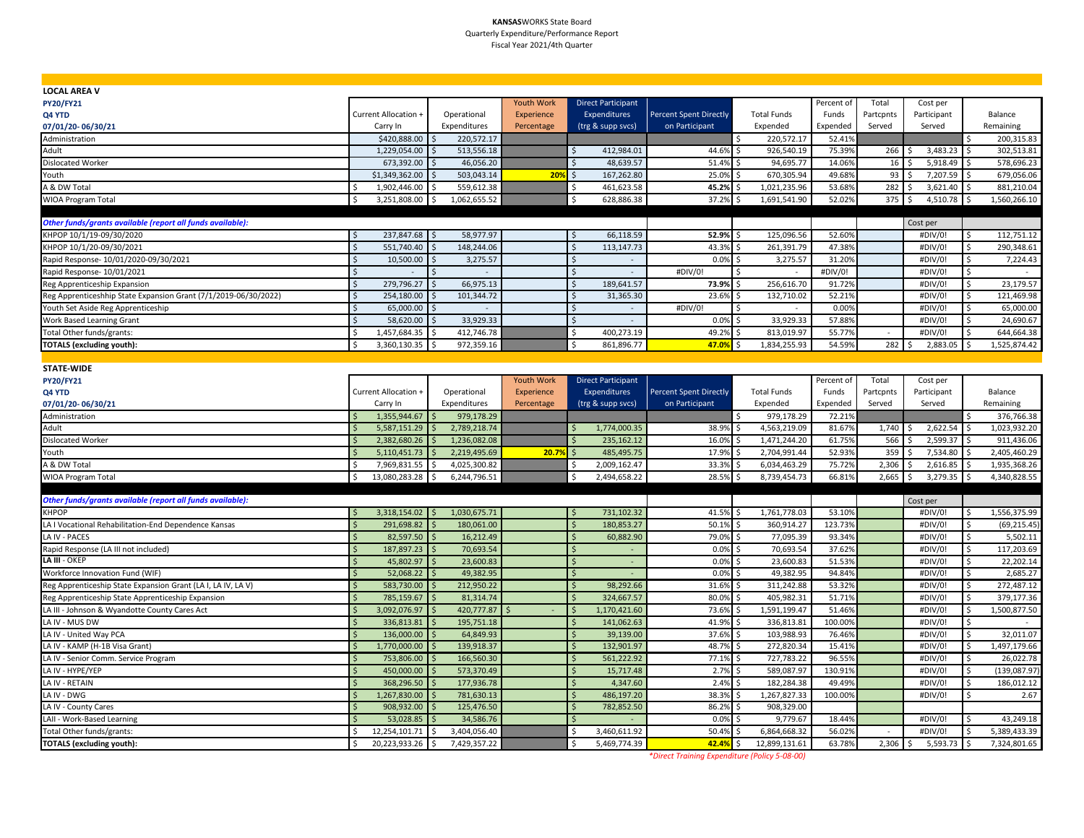#### **KANSAS**WORKS State Board Quarterly Expenditure/Performance Report Fiscal Year 2021/4th Quarter

| <b>LOCAL AREA V</b>                                             |                                  |                    |                   |                           |                               |                    |            |           |             |                                     |
|-----------------------------------------------------------------|----------------------------------|--------------------|-------------------|---------------------------|-------------------------------|--------------------|------------|-----------|-------------|-------------------------------------|
| <b>PY20/FY21</b>                                                |                                  |                    | <b>Youth Work</b> | <b>Direct Participant</b> |                               |                    | Percent of | Total     | Cost per    |                                     |
| Q4 YTD                                                          | Current Allocation +             | Operational        | <b>Experience</b> | Expenditures              | <b>Percent Spent Directly</b> | <b>Total Funds</b> | Funds      | Partcpnts | Participant | Balance                             |
| 07/01/20-06/30/21                                               | Carry In                         | Expenditures       | Percentage        | (trg & supp svcs)         | on Participant                | Expended           | Expended   | Served    | Served      | Remaining                           |
| Administration                                                  | \$420,888.00                     | 220,572.17         |                   |                           |                               | 220,572.17         | 52.419     |           |             | 200,315.83                          |
| Adult                                                           | 1,229,054.00                     | 513,556.18         |                   | 412,984.01                | 44.6%                         | 926,540.19<br>\$   | 75.399     | 266       | 3,483.23    | 302,513.81                          |
| <b>Dislocated Worker</b>                                        | 673,392.00                       | 46,056.20          |                   | 48,639.57                 | 51.4%                         | 94,695.77<br>Ŝ.    | 14.069     | 16        | 5,918.49    | 578,696.23<br>١ś                    |
| Youth                                                           | \$1,349,362.00                   | 503,043.14         | 20%               | 167,262.80<br>Ŝ.          | 25.0%                         | 670,305.94         | 49.68%     | 93        | 7,207.59    | 679,056.06                          |
| A & DW Total                                                    | 1,902,446.00                     | 559,612.38         |                   | 461,623.58                | 45.2%                         | 1,021,235.96       | 53.689     | 282       | 3,621.40    | 881,210.04                          |
| <b>WIOA Program Total</b>                                       | Ś<br>3,251,808.00 \$             | 1,062,655.52       |                   | Ŝ.<br>628,886.38          | 37.2%                         | 1,691,541.90       | 52.02%     | 375       | 4,510.78    | l \$<br>1,560,266.10                |
|                                                                 |                                  |                    |                   |                           |                               |                    |            |           |             |                                     |
| Other funds/grants available (report all funds available):      |                                  |                    |                   |                           |                               |                    |            |           | Cost per    |                                     |
| KHPOP 10/1/19-09/30/2020                                        | 237,847.68 \$<br>\$              | 58,977.97          |                   | 66,118.59<br>Ŝ.           | 52.9%                         | 125,096.56<br>Ŝ    | 52.60%     |           | #DIV/0!     | 112,751.12<br>\$                    |
| KHPOP 10/1/20-09/30/2021                                        | 551,740.40<br>Ś                  | 148,244.06         |                   | 113,147.73                | 43.3%                         | 261,391.79         | 47.389     |           | #DIV/0!     | 290,348.61<br>Ś                     |
| Rapid Response- 10/01/2020-09/30/2021                           | 10,500.00                        | 3,275.57           |                   |                           | 0.0%                          | 3,275.57           | 31.209     |           | #DIV/0!     | Ŝ.<br>7,224.43                      |
| Rapid Response- 10/01/2021                                      | \$                               | $\sim$             |                   | l \$<br>$\sim$            | #DIV/0!                       | Ŝ.<br>$\sim$       | #DIV/0!    |           | #DIV/0!     | \$                                  |
| Reg Apprenticeship Expansion                                    | $\zeta$<br>279,796.27            | 66,975.13          |                   | Ś<br>189,641.57           | 73.9%                         | 256,616.70         | 91.72%     |           | #DIV/0!     | 23,179.57<br>\$                     |
| Reg Apprenticeshhip State Expansion Grant (7/1/2019-06/30/2022) | \$<br>254,180.00                 | 101,344.72<br>Ŝ.   |                   | 31,365.30                 | 23.6%                         | 132,710.02<br>Ŝ.   | 52.21%     |           | #DIV/0!     | 121,469.98<br>\$                    |
| Youth Set Aside Reg Apprenticeship                              | $\zeta$<br>65,000.00             |                    |                   | \$                        | #DIV/0!                       |                    | 0.00%      |           | #DIV/0!     | \$<br>65,000.00                     |
| <b>Work Based Learning Grant</b>                                | 58,620.00<br>$\mathsf{\hat{S}}$  | 33,929.33          |                   | $\sim$<br>$\sim$          | 0.0%                          | 33,929.33<br>ς.    | 57.889     |           | #DIV/0!     | 24,690.67<br>\$                     |
| Total Other funds/grants:                                       | 1,457,684.35                     | 412,746.78         |                   | 400,273.19<br>Ś           | 49.2%                         | 813,019.97         | 55.77%     |           | #DIV/0!     | 644,664.38<br>-Ś                    |
| <b>TOTALS (excluding youth):</b>                                | <sup>\$</sup><br>3,360,130.35 \$ | 972,359.16         |                   | Ś<br>861,896.77           | 47.0%                         | 1,834,255.93       | 54.59%     | 282       | 2,883.05    | $\mathsf{\hat{S}}$<br>1,525,874.42  |
|                                                                 |                                  |                    |                   |                           |                               |                    |            |           |             |                                     |
| <b>STATE-WIDE</b>                                               |                                  |                    |                   |                           |                               |                    |            |           |             |                                     |
| <b>PY20/FY21</b>                                                |                                  |                    | <b>Youth Work</b> | <b>Direct Participant</b> |                               |                    | Percent of | Total     | Cost per    |                                     |
| Q4 YTD                                                          | <b>Current Allocation +</b>      | Operational        | Experience        | Expenditures              | <b>Percent Spent Directly</b> | <b>Total Funds</b> | Funds      | Partcpnts | Participant | Balance                             |
| 07/01/20-06/30/21                                               | Carry In                         | Expenditures       | Percentage        | (trg & supp svcs)         | on Participant                | Expended           | Expended   | Served    | Served      | Remaining                           |
| Administration                                                  | 1,355,944.67                     | 979,178.29         |                   |                           |                               | 979,178.29         | 72.219     |           |             | 376,766.38                          |
| Adult                                                           | 5,587,151.29                     | 2,789,218.74       |                   | 1,774,000.35              | 38.9%                         | 4,563,219.09       | 81.679     | 1,740     | 2,622.54    | 1,023,932.20                        |
| Dislocated Worker                                               | 2,382,680.26                     | 1,236,082.08       |                   | 235,162.12                | 16.0%                         | 1,471,244.20       | 61.75%     | 566       | 2,599.37    | 911,436.06                          |
| Youth                                                           | <sup>5</sup><br>5,110,451.73     | 2,219,495.69<br>Ŝ. | 20.7%             | 485,495.75                | 17.9%                         | 2,704,991.44       | 52.93%     | 359       | 7,534.80    | 2,405,460.29                        |
| A & DW Total                                                    | Ś<br>7,969,831.55                | 4,025,300.82<br>Ŝ. |                   | 2,009,162.47              | 33.39                         | 6,034,463.29       | 75.72%     | 2,306     | 2,616.85    | -Ś<br>1,935,368.26                  |
| WIOA Program Total                                              | 13,080,283.28 \$<br>Ś.           | 6,244,796.51       |                   | 2,494,658.22<br>Ŝ         | 28.5%                         | 8,739,454.73       | 66.81%     | 2,665     | 3,279.35    | 4,340,828.55<br>l \$                |
|                                                                 |                                  |                    |                   |                           |                               |                    |            |           |             |                                     |
| Other funds/grants available (report all funds available):      |                                  |                    |                   |                           |                               |                    |            |           | Cost per    |                                     |
| <b>KHPOP</b>                                                    | 3,318,154.02<br>$\mathsf{s}$     | 1,030,675.71       |                   | 731,102.32                | 41.5%                         | 1,761,778.03       | 53.10%     |           | #DIV/0!     | 1,556,375.99<br>\$                  |
| LA I Vocational Rehabilitation-End Dependence Kansas            | $\zeta$<br>291,698.82            | 180,061.00         |                   | 180,853.27                | 50.1%                         | 360,914.27         | 123.73%    |           | #DIV/0!     | (69, 215.45)<br><sup>\$</sup>       |
| LA IV - PACES                                                   | $\zeta$<br>82,597.50             | 16,212.49          |                   | 60,882.90                 | 79.0%                         | 77,095.39          | 93.34%     |           | #DIV/0!     | 5,502.11<br><sup>\$</sup>           |
| Rapid Response (LA III not included)                            | 187,897.23<br><sub>S</sub>       | 70,693.54          |                   |                           | 0.0%                          | 70,693.54          | 37.629     |           | #DIV/0!     | 117,203.69<br>Ŝ.                    |
| LA III - OKEP                                                   | 45,802.97<br>$\mathsf{S}$        | 23,600.83          |                   | \$<br>$\sim$              | 0.0%                          | 23,600.83          | 51.53%     |           | #DIV/0!     | 22,202.14<br>Ŝ.                     |
| Workforce Innovation Fund (WIF)                                 | 52,068.22                        | 49,382.95          |                   |                           | 0.0%                          | 49,382.95          | 94.84%     |           | #DIV/0!     | 2,685.27<br>Ŝ.                      |
| Reg Apprenticeship State Expansion Grant (LA I, LA IV, LA V)    | $\dot{\mathsf{s}}$<br>583,730.00 | 212,950.22         |                   | 98,292.66                 | 31.6%                         | 311,242.88         | 53.329     |           | #DIV/0!     | 272,487.12<br><sup>\$</sup>         |
| Reg Apprenticeship State Apprenticeship Expansion               | <sub>S</sub><br>785,159.67       | 81,314.74          |                   | $\zeta$<br>324,667.57     | 80.0%                         | 405,982.31         | 51.719     |           | #DIV/0!     | \$<br>379,177.36                    |
| LA III - Johnson & Wyandotte County Cares Act                   | 3,092,076.97<br><sup>\$</sup>    | 420,777.87         |                   | 1,170,421.60              | 73.6%                         | 1,591,199.47       | 51.46%     |           | #DIV/0!     | \$<br>1,500,877.50                  |
| LA IV - MUS DW                                                  | 336,813.81<br><sup>5</sup>       | 195,751.18         |                   | 141,062.63                | 41.9%                         | 336,813.81         | 100.00%    |           | #DIV/0!     | Ś                                   |
| LA IV - United Way PCA                                          | 136,000.00<br><sup>5</sup>       | 64,849.93          |                   | 39,139.00                 | 37.6%                         | 103,988.93         | 76.469     |           | #DIV/0!     | Ŝ.<br>32,011.07                     |
| LA IV - KAMP (H-1B Visa Grant)                                  | 1,770,000.00<br>Š.               | 139,918.37         |                   | 132,901.97                | 48.7%                         | 272,820.34         | 15.419     |           | #DIV/0!     | \$<br>1,497,179.66                  |
| LA IV - Senior Comm. Service Program                            | <sub>S</sub><br>753,806.00       | 166,560.30         |                   | 561,222.92                | 77.1%                         | 727,783.22         | 96.559     |           | #DIV/0!     | \$<br>26,022.78                     |
| LA IV - HYPE/YEP                                                | $\zeta$<br>450,000.00            | 573,370.49         |                   | 15,717.48                 | 2.7%                          | 589,087.97         | 130.91%    |           | #DIV/0!     | \$<br>(139,087.97                   |
| LA IV - RETAIN                                                  | <sub>S</sub><br>368,296.50       | 177,936.78         |                   | 4,347.60<br>$\zeta$       | 2.4%                          | 182,284.38<br>ς.   | 49.49%     |           | #DIV/0!     | $\ddot{s}$<br>186,012.12            |
| LA IV - DWG                                                     | \$<br>1,267,830.00               | 781,630.13         |                   | 486,197.20                | 38.39                         | 1,267,827.33       | 100.00     |           | #DIV/0!     | Ś<br>2.67                           |
| LA IV - County Cares                                            | 908,932.00                       | 125,476.50         |                   | 782,852.50                | 86.2%                         | 908,329.00         |            |           |             |                                     |
| LAII - Work-Based Learning                                      | 53,028.85                        | 34,586.76          |                   |                           | 0.0%                          | 9,779.67           | 18.449     |           | #DIV/0!     | 43,249.18                           |
| Total Other funds/grants:<br><b>TOTALS (excluding youth):</b>   | 12,254,101.71<br>Ŝ               | 3,404,056.40<br>Ŝ. |                   | 3,460,611.92              | 50.49                         | 6,864,668.32       | 56.029     | $\sim$    | #DIV/0!     | 5,389,433.39<br>-S                  |
|                                                                 | Ŝ.<br>20,223,933.26 \$           | 7,429,357.22       |                   | 5,469,774.39              | 42.4%                         | 12,899,131.61      | 63.78%     | 2,306     | 5,593.73    | $\ddot{\mathsf{S}}$<br>7,324,801.65 |

*\*Direct Training Expenditure (Policy 5-08-00)*